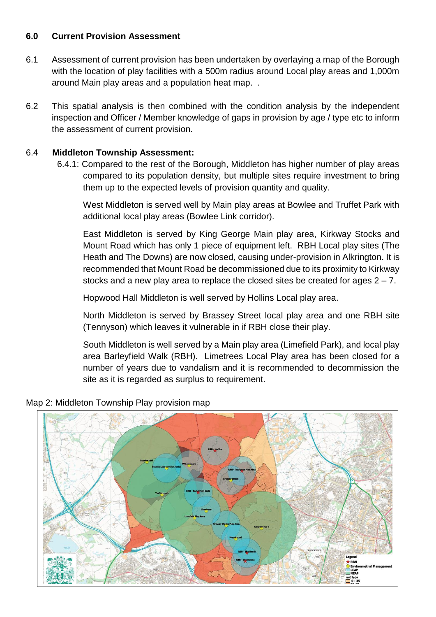## **6.0 Current Provision Assessment**

- 6.1 Assessment of current provision has been undertaken by overlaying a map of the Borough with the location of play facilities with a 500m radius around Local play areas and 1,000m around Main play areas and a population heat map. .
- 6.2 This spatial analysis is then combined with the condition analysis by the independent inspection and Officer / Member knowledge of gaps in provision by age / type etc to inform the assessment of current provision.

## 6.4 **Middleton Township Assessment:**

6.4.1: Compared to the rest of the Borough, Middleton has higher number of play areas compared to its population density, but multiple sites require investment to bring them up to the expected levels of provision quantity and quality.

West Middleton is served well by Main play areas at Bowlee and Truffet Park with additional local play areas (Bowlee Link corridor).

East Middleton is served by King George Main play area, Kirkway Stocks and Mount Road which has only 1 piece of equipment left. RBH Local play sites (The Heath and The Downs) are now closed, causing under-provision in Alkrington. It is recommended that Mount Road be decommissioned due to its proximity to Kirkway stocks and a new play area to replace the closed sites be created for ages  $2 - 7$ .

Hopwood Hall Middleton is well served by Hollins Local play area.

North Middleton is served by Brassey Street local play area and one RBH site (Tennyson) which leaves it vulnerable in if RBH close their play.

South Middleton is well served by a Main play area (Limefield Park), and local play area Barleyfield Walk (RBH). Limetrees Local Play area has been closed for a number of years due to vandalism and it is recommended to decommission the site as it is regarded as surplus to requirement.



Map 2: Middleton Township Play provision map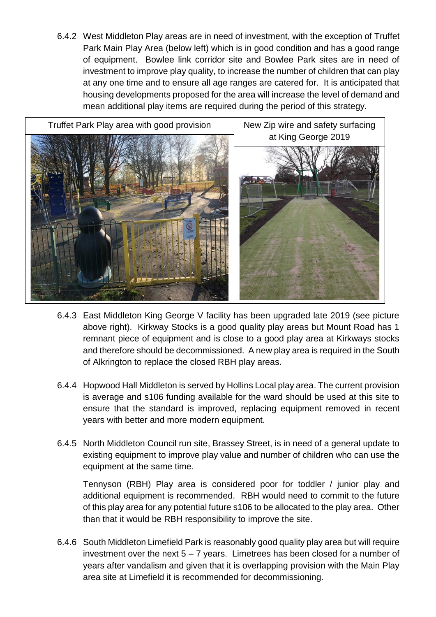6.4.2 West Middleton Play areas are in need of investment, with the exception of Truffet Park Main Play Area (below left) which is in good condition and has a good range of equipment. Bowlee link corridor site and Bowlee Park sites are in need of investment to improve play quality, to increase the number of children that can play at any one time and to ensure all age ranges are catered for. It is anticipated that housing developments proposed for the area will increase the level of demand and mean additional play items are required during the period of this strategy.



- 6.4.3 East Middleton King George V facility has been upgraded late 2019 (see picture above right). Kirkway Stocks is a good quality play areas but Mount Road has 1 remnant piece of equipment and is close to a good play area at Kirkways stocks and therefore should be decommissioned. A new play area is required in the South of Alkrington to replace the closed RBH play areas.
- 6.4.4 Hopwood Hall Middleton is served by Hollins Local play area. The current provision is average and s106 funding available for the ward should be used at this site to ensure that the standard is improved, replacing equipment removed in recent years with better and more modern equipment.
- 6.4.5 North Middleton Council run site, Brassey Street, is in need of a general update to existing equipment to improve play value and number of children who can use the equipment at the same time.

Tennyson (RBH) Play area is considered poor for toddler / junior play and additional equipment is recommended. RBH would need to commit to the future of this play area for any potential future s106 to be allocated to the play area. Other than that it would be RBH responsibility to improve the site.

6.4.6 South Middleton Limefield Park is reasonably good quality play area but will require investment over the next  $5 - 7$  years. Limetrees has been closed for a number of years after vandalism and given that it is overlapping provision with the Main Play area site at Limefield it is recommended for decommissioning.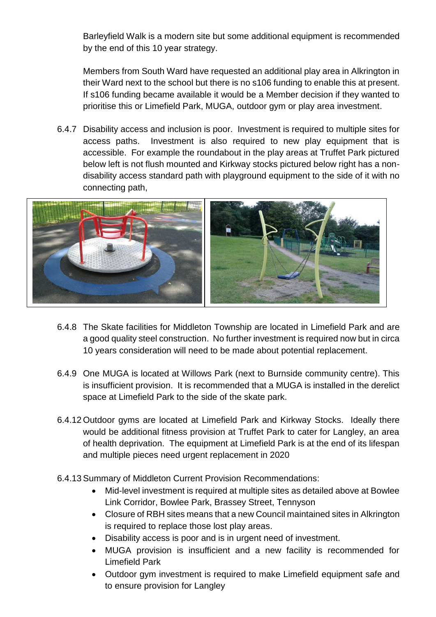Barleyfield Walk is a modern site but some additional equipment is recommended by the end of this 10 year strategy.

Members from South Ward have requested an additional play area in Alkrington in their Ward next to the school but there is no s106 funding to enable this at present. If s106 funding became available it would be a Member decision if they wanted to prioritise this or Limefield Park, MUGA, outdoor gym or play area investment.

6.4.7 Disability access and inclusion is poor. Investment is required to multiple sites for access paths. Investment is also required to new play equipment that is accessible. For example the roundabout in the play areas at Truffet Park pictured below left is not flush mounted and Kirkway stocks pictured below right has a nondisability access standard path with playground equipment to the side of it with no connecting path,



- 6.4.8 The Skate facilities for Middleton Township are located in Limefield Park and are a good quality steel construction. No further investment is required now but in circa 10 years consideration will need to be made about potential replacement.
- 6.4.9 One MUGA is located at Willows Park (next to Burnside community centre). This is insufficient provision. It is recommended that a MUGA is installed in the derelict space at Limefield Park to the side of the skate park.
- 6.4.12 Outdoor gyms are located at Limefield Park and Kirkway Stocks. Ideally there would be additional fitness provision at Truffet Park to cater for Langley, an area of health deprivation. The equipment at Limefield Park is at the end of its lifespan and multiple pieces need urgent replacement in 2020
- 6.4.13Summary of Middleton Current Provision Recommendations:
	- Mid-level investment is required at multiple sites as detailed above at Bowlee Link Corridor, Bowlee Park, Brassey Street, Tennyson
	- Closure of RBH sites means that a new Council maintained sites in Alkrington is required to replace those lost play areas.
	- Disability access is poor and is in urgent need of investment.
	- MUGA provision is insufficient and a new facility is recommended for Limefield Park
	- Outdoor gym investment is required to make Limefield equipment safe and to ensure provision for Langley